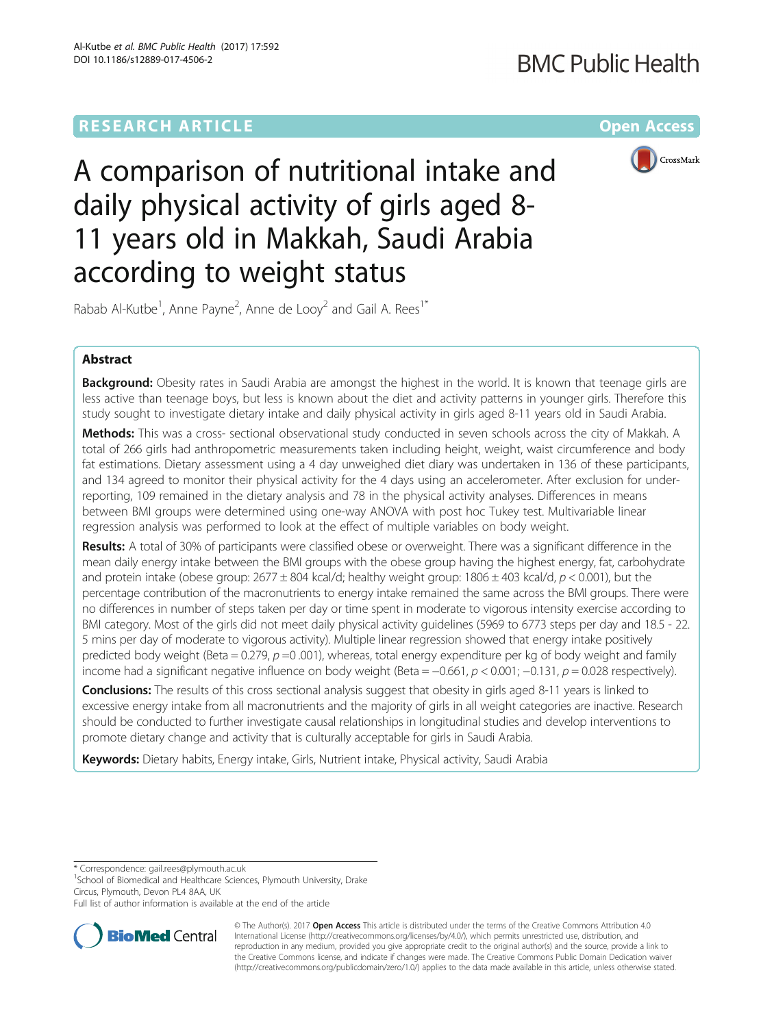# **RESEARCH ARTICLE Example 2014 12:30 The Company Access** (RESEARCH ARTICLE



A comparison of nutritional intake and daily physical activity of girls aged 8- 11 years old in Makkah, Saudi Arabia according to weight status

Rabab Al-Kutbe<sup>1</sup>, Anne Payne<sup>2</sup>, Anne de Looy<sup>2</sup> and Gail A. Rees<sup>1\*</sup>

# Abstract

Background: Obesity rates in Saudi Arabia are amongst the highest in the world. It is known that teenage girls are less active than teenage boys, but less is known about the diet and activity patterns in younger girls. Therefore this study sought to investigate dietary intake and daily physical activity in girls aged 8-11 years old in Saudi Arabia.

Methods: This was a cross- sectional observational study conducted in seven schools across the city of Makkah. A total of 266 girls had anthropometric measurements taken including height, weight, waist circumference and body fat estimations. Dietary assessment using a 4 day unweighed diet diary was undertaken in 136 of these participants, and 134 agreed to monitor their physical activity for the 4 days using an accelerometer. After exclusion for underreporting, 109 remained in the dietary analysis and 78 in the physical activity analyses. Differences in means between BMI groups were determined using one-way ANOVA with post hoc Tukey test. Multivariable linear regression analysis was performed to look at the effect of multiple variables on body weight.

Results: A total of 30% of participants were classified obese or overweight. There was a significant difference in the mean daily energy intake between the BMI groups with the obese group having the highest energy, fat, carbohydrate and protein intake (obese group:  $2677 \pm 804$  kcal/d; healthy weight group: 1806  $\pm$  403 kcal/d, p < 0.001), but the percentage contribution of the macronutrients to energy intake remained the same across the BMI groups. There were no differences in number of steps taken per day or time spent in moderate to vigorous intensity exercise according to BMI category. Most of the girls did not meet daily physical activity guidelines (5969 to 6773 steps per day and 18.5 - 22. 5 mins per day of moderate to vigorous activity). Multiple linear regression showed that energy intake positively predicted body weight (Beta = 0.279,  $p$  =0.001), whereas, total energy expenditure per kg of body weight and family income had a significant negative influence on body weight (Beta =  $-0.661$ ,  $p < 0.001$ ;  $-0.131$ ,  $p = 0.028$  respectively).

**Conclusions:** The results of this cross sectional analysis suggest that obesity in girls aged 8-11 years is linked to excessive energy intake from all macronutrients and the majority of girls in all weight categories are inactive. Research should be conducted to further investigate causal relationships in longitudinal studies and develop interventions to promote dietary change and activity that is culturally acceptable for girls in Saudi Arabia.

Keywords: Dietary habits, Energy intake, Girls, Nutrient intake, Physical activity, Saudi Arabia

\* Correspondence: [gail.rees@plymouth.ac.uk](mailto:gail.rees@plymouth.ac.uk) <sup>1</sup>

 $1$ School of Biomedical and Healthcare Sciences, Plymouth University, Drake Circus, Plymouth, Devon PL4 8AA, UK

Full list of author information is available at the end of the article



© The Author(s). 2017 **Open Access** This article is distributed under the terms of the Creative Commons Attribution 4.0 International License [\(http://creativecommons.org/licenses/by/4.0/](http://creativecommons.org/licenses/by/4.0/)), which permits unrestricted use, distribution, and reproduction in any medium, provided you give appropriate credit to the original author(s) and the source, provide a link to the Creative Commons license, and indicate if changes were made. The Creative Commons Public Domain Dedication waiver [\(http://creativecommons.org/publicdomain/zero/1.0/](http://creativecommons.org/publicdomain/zero/1.0/)) applies to the data made available in this article, unless otherwise stated.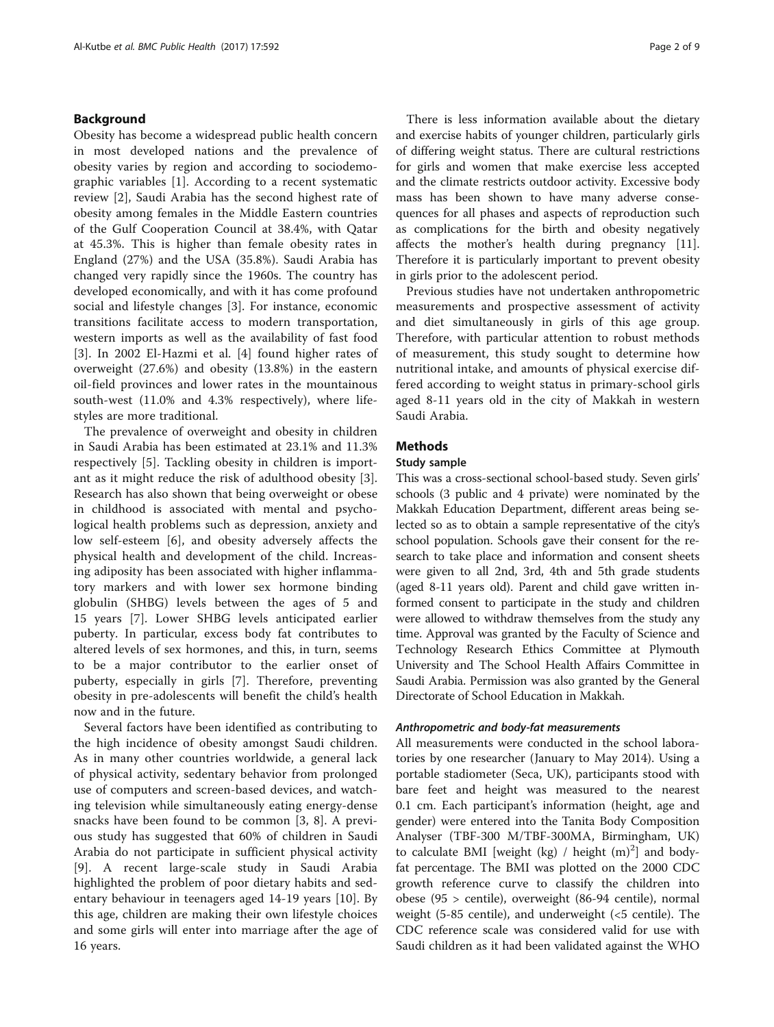# Background

Obesity has become a widespread public health concern in most developed nations and the prevalence of obesity varies by region and according to sociodemographic variables [\[1](#page-7-0)]. According to a recent systematic review [[2\]](#page-7-0), Saudi Arabia has the second highest rate of obesity among females in the Middle Eastern countries of the Gulf Cooperation Council at 38.4%, with Qatar at 45.3%. This is higher than female obesity rates in England (27%) and the USA (35.8%). Saudi Arabia has changed very rapidly since the 1960s. The country has developed economically, and with it has come profound social and lifestyle changes [[3\]](#page-7-0). For instance, economic transitions facilitate access to modern transportation, western imports as well as the availability of fast food [[3\]](#page-7-0). In 2002 El-Hazmi et al. [[4\]](#page-7-0) found higher rates of overweight (27.6%) and obesity (13.8%) in the eastern oil-field provinces and lower rates in the mountainous south-west (11.0% and 4.3% respectively), where lifestyles are more traditional.

The prevalence of overweight and obesity in children in Saudi Arabia has been estimated at 23.1% and 11.3% respectively [\[5](#page-7-0)]. Tackling obesity in children is important as it might reduce the risk of adulthood obesity [\[3](#page-7-0)]. Research has also shown that being overweight or obese in childhood is associated with mental and psychological health problems such as depression, anxiety and low self-esteem [[6\]](#page-7-0), and obesity adversely affects the physical health and development of the child. Increasing adiposity has been associated with higher inflammatory markers and with lower sex hormone binding globulin (SHBG) levels between the ages of 5 and 15 years [[7](#page-7-0)]. Lower SHBG levels anticipated earlier puberty. In particular, excess body fat contributes to altered levels of sex hormones, and this, in turn, seems to be a major contributor to the earlier onset of puberty, especially in girls [\[7](#page-7-0)]. Therefore, preventing obesity in pre-adolescents will benefit the child's health now and in the future.

Several factors have been identified as contributing to the high incidence of obesity amongst Saudi children. As in many other countries worldwide, a general lack of physical activity, sedentary behavior from prolonged use of computers and screen-based devices, and watching television while simultaneously eating energy-dense snacks have been found to be common [[3, 8](#page-7-0)]. A previous study has suggested that 60% of children in Saudi Arabia do not participate in sufficient physical activity [[9\]](#page-7-0). A recent large-scale study in Saudi Arabia highlighted the problem of poor dietary habits and sedentary behaviour in teenagers aged 14-19 years [\[10](#page-7-0)]. By this age, children are making their own lifestyle choices and some girls will enter into marriage after the age of 16 years.

There is less information available about the dietary and exercise habits of younger children, particularly girls of differing weight status. There are cultural restrictions for girls and women that make exercise less accepted and the climate restricts outdoor activity. Excessive body mass has been shown to have many adverse consequences for all phases and aspects of reproduction such as complications for the birth and obesity negatively affects the mother's health during pregnancy [\[11](#page-7-0)]. Therefore it is particularly important to prevent obesity in girls prior to the adolescent period.

Previous studies have not undertaken anthropometric measurements and prospective assessment of activity and diet simultaneously in girls of this age group. Therefore, with particular attention to robust methods of measurement, this study sought to determine how nutritional intake, and amounts of physical exercise differed according to weight status in primary-school girls aged 8-11 years old in the city of Makkah in western Saudi Arabia.

# **Methods**

### Study sample

This was a cross-sectional school-based study. Seven girls' schools (3 public and 4 private) were nominated by the Makkah Education Department, different areas being selected so as to obtain a sample representative of the city's school population. Schools gave their consent for the research to take place and information and consent sheets were given to all 2nd, 3rd, 4th and 5th grade students (aged 8-11 years old). Parent and child gave written informed consent to participate in the study and children were allowed to withdraw themselves from the study any time. Approval was granted by the Faculty of Science and Technology Research Ethics Committee at Plymouth University and The School Health Affairs Committee in Saudi Arabia. Permission was also granted by the General Directorate of School Education in Makkah.

### Anthropometric and body-fat measurements

All measurements were conducted in the school laboratories by one researcher (January to May 2014). Using a portable stadiometer (Seca, UK), participants stood with bare feet and height was measured to the nearest 0.1 cm. Each participant's information (height, age and gender) were entered into the Tanita Body Composition Analyser (TBF-300 M/TBF-300MA, Birmingham, UK) to calculate BMI [weight (kg) / height  $(m)^2$ ] and bodyfat percentage. The BMI was plotted on the 2000 CDC growth reference curve to classify the children into obese (95 > centile), overweight (86-94 centile), normal weight (5-85 centile), and underweight (<5 centile). The CDC reference scale was considered valid for use with Saudi children as it had been validated against the WHO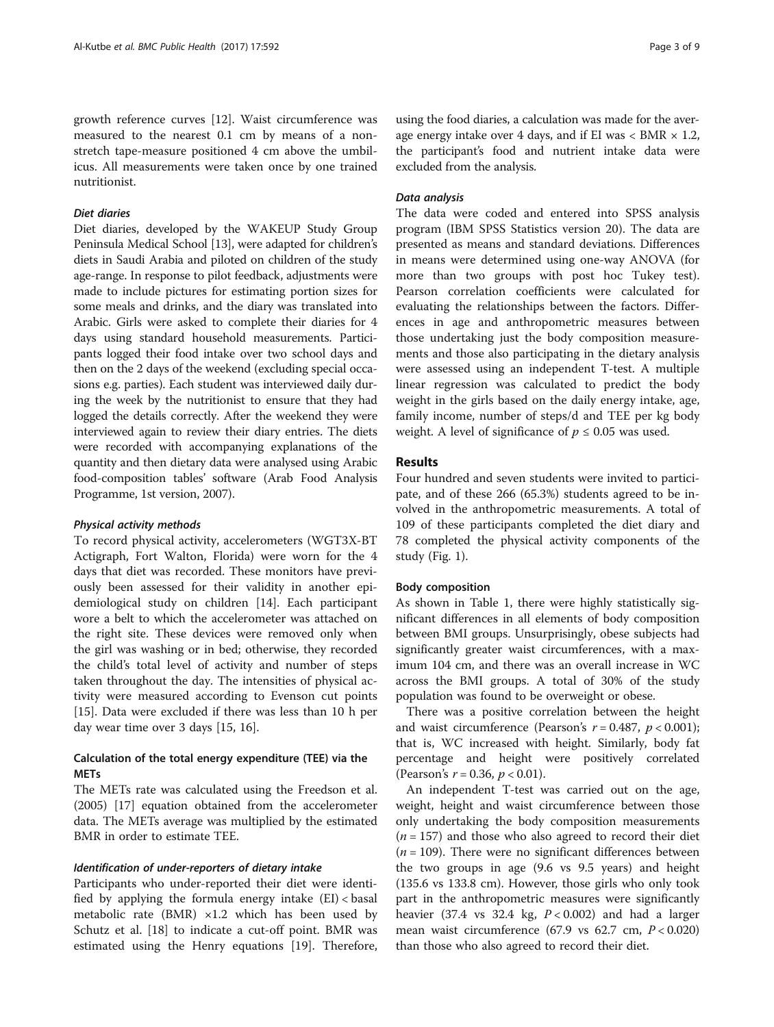growth reference curves [[12](#page-7-0)]. Waist circumference was measured to the nearest 0.1 cm by means of a nonstretch tape-measure positioned 4 cm above the umbilicus. All measurements were taken once by one trained nutritionist.

# Diet diaries

Diet diaries, developed by the WAKEUP Study Group Peninsula Medical School [\[13](#page-7-0)], were adapted for children's diets in Saudi Arabia and piloted on children of the study age-range. In response to pilot feedback, adjustments were made to include pictures for estimating portion sizes for some meals and drinks, and the diary was translated into Arabic. Girls were asked to complete their diaries for 4 days using standard household measurements. Participants logged their food intake over two school days and then on the 2 days of the weekend (excluding special occasions e.g. parties). Each student was interviewed daily during the week by the nutritionist to ensure that they had logged the details correctly. After the weekend they were interviewed again to review their diary entries. The diets were recorded with accompanying explanations of the quantity and then dietary data were analysed using Arabic food-composition tables' software (Arab Food Analysis Programme, 1st version, 2007).

### Physical activity methods

To record physical activity, accelerometers (WGT3X-BT Actigraph, Fort Walton, Florida) were worn for the 4 days that diet was recorded. These monitors have previously been assessed for their validity in another epidemiological study on children [\[14\]](#page-7-0). Each participant wore a belt to which the accelerometer was attached on the right site. These devices were removed only when the girl was washing or in bed; otherwise, they recorded the child's total level of activity and number of steps taken throughout the day. The intensities of physical activity were measured according to Evenson cut points [[15\]](#page-7-0). Data were excluded if there was less than 10 h per day wear time over 3 days [[15](#page-7-0), [16](#page-7-0)].

# Calculation of the total energy expenditure (TEE) via the METs

The METs rate was calculated using the Freedson et al. (2005) [[17\]](#page-7-0) equation obtained from the accelerometer data. The METs average was multiplied by the estimated BMR in order to estimate TEE.

### Identification of under-reporters of dietary intake

Participants who under-reported their diet were identified by applying the formula energy intake  $(EI) <$  basal metabolic rate (BMR)  $\times$ 1.2 which has been used by Schutz et al. [[18](#page-7-0)] to indicate a cut-off point. BMR was estimated using the Henry equations [\[19](#page-7-0)]. Therefore,

using the food diaries, a calculation was made for the average energy intake over 4 days, and if EI was  $<$  BMR  $\times$  1.2, the participant's food and nutrient intake data were excluded from the analysis.

### Data analysis

The data were coded and entered into SPSS analysis program (IBM SPSS Statistics version 20). The data are presented as means and standard deviations. Differences in means were determined using one-way ANOVA (for more than two groups with post hoc Tukey test). Pearson correlation coefficients were calculated for evaluating the relationships between the factors. Differences in age and anthropometric measures between those undertaking just the body composition measurements and those also participating in the dietary analysis were assessed using an independent T-test. A multiple linear regression was calculated to predict the body weight in the girls based on the daily energy intake, age, family income, number of steps/d and TEE per kg body weight. A level of significance of  $p \leq 0.05$  was used.

### Results

Four hundred and seven students were invited to participate, and of these 266 (65.3%) students agreed to be involved in the anthropometric measurements. A total of 109 of these participants completed the diet diary and 78 completed the physical activity components of the study (Fig. [1](#page-3-0)).

### Body composition

As shown in Table [1](#page-3-0), there were highly statistically significant differences in all elements of body composition between BMI groups. Unsurprisingly, obese subjects had significantly greater waist circumferences, with a maximum 104 cm, and there was an overall increase in WC across the BMI groups. A total of 30% of the study population was found to be overweight or obese.

There was a positive correlation between the height and waist circumference (Pearson's  $r = 0.487$ ,  $p < 0.001$ ); that is, WC increased with height. Similarly, body fat percentage and height were positively correlated (Pearson's  $r = 0.36$ ,  $p < 0.01$ ).

An independent T-test was carried out on the age, weight, height and waist circumference between those only undertaking the body composition measurements  $(n = 157)$  and those who also agreed to record their diet  $(n = 109)$ . There were no significant differences between the two groups in age (9.6 vs 9.5 years) and height (135.6 vs 133.8 cm). However, those girls who only took part in the anthropometric measures were significantly heavier (37.4 vs 32.4 kg,  $P < 0.002$ ) and had a larger mean waist circumference  $(67.9 \text{ vs } 62.7 \text{ cm}, P < 0.020)$ than those who also agreed to record their diet.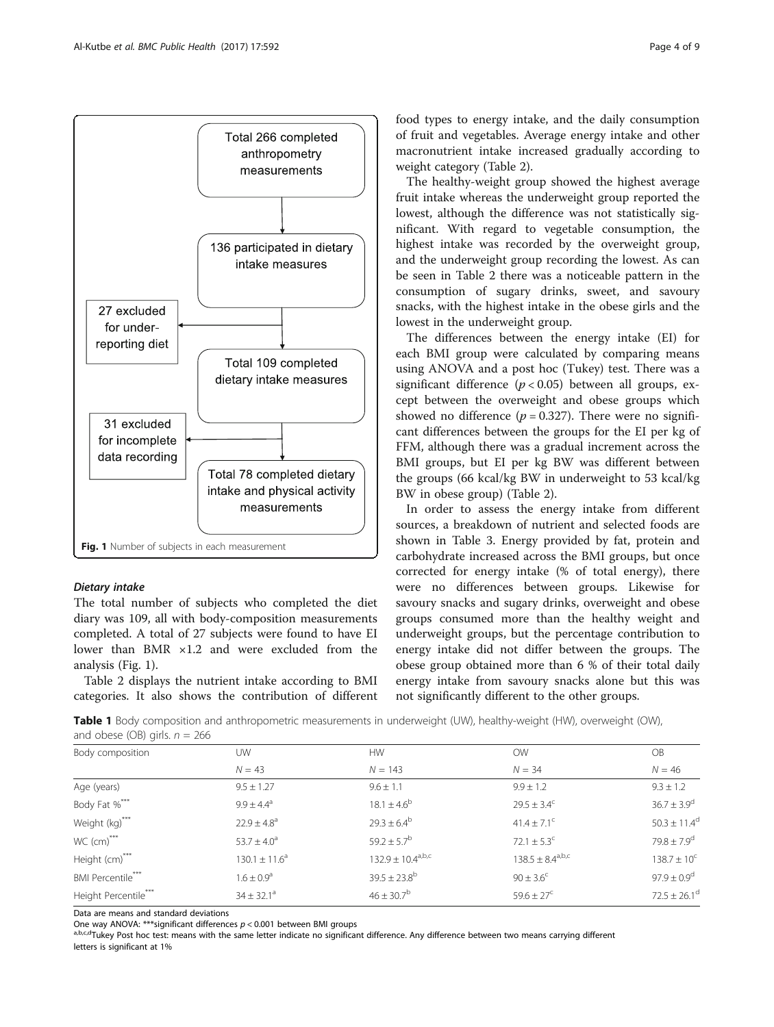<span id="page-3-0"></span>

# Dietary intake

The total number of subjects who completed the diet diary was 109, all with body-composition measurements completed. A total of 27 subjects were found to have EI lower than BMR ×1.2 and were excluded from the analysis (Fig. 1).

Table [2](#page-4-0) displays the nutrient intake according to BMI categories. It also shows the contribution of different food types to energy intake, and the daily consumption of fruit and vegetables. Average energy intake and other macronutrient intake increased gradually according to weight category (Table [2](#page-4-0)).

The healthy-weight group showed the highest average fruit intake whereas the underweight group reported the lowest, although the difference was not statistically significant. With regard to vegetable consumption, the highest intake was recorded by the overweight group, and the underweight group recording the lowest. As can be seen in Table [2](#page-4-0) there was a noticeable pattern in the consumption of sugary drinks, sweet, and savoury snacks, with the highest intake in the obese girls and the lowest in the underweight group.

The differences between the energy intake (EI) for each BMI group were calculated by comparing means using ANOVA and a post hoc (Tukey) test. There was a significant difference  $(p < 0.05)$  between all groups, except between the overweight and obese groups which showed no difference ( $p = 0.327$ ). There were no significant differences between the groups for the EI per kg of FFM, although there was a gradual increment across the BMI groups, but EI per kg BW was different between the groups (66 kcal/kg BW in underweight to 53 kcal/kg BW in obese group) (Table [2](#page-4-0)).

In order to assess the energy intake from different sources, a breakdown of nutrient and selected foods are shown in Table [3](#page-4-0). Energy provided by fat, protein and carbohydrate increased across the BMI groups, but once corrected for energy intake (% of total energy), there were no differences between groups. Likewise for savoury snacks and sugary drinks, overweight and obese groups consumed more than the healthy weight and underweight groups, but the percentage contribution to energy intake did not differ between the groups. The obese group obtained more than 6 % of their total daily energy intake from savoury snacks alone but this was not significantly different to the other groups.

Table 1 Body composition and anthropometric measurements in underweight (UW), healthy-weight (HW), overweight (OW), and obese (OB) girls.  $n = 266$ 

| Body composition         | UW                    | <b>HW</b>                | <b>OW</b>                   | <b>OB</b>                    |
|--------------------------|-----------------------|--------------------------|-----------------------------|------------------------------|
|                          | $N = 43$              | $N = 143$                | $N = 34$                    | $N = 46$                     |
| Age (years)              | $9.5 + 1.27$          | $9.6 + 1.1$              | $9.9 \pm 1.2$               | $9.3 + 1.2$                  |
| Body Fat %***            | $9.9 \pm 4.4^{\circ}$ | $18.1 \pm 4.6^b$         | $29.5 \pm 3.4^c$            | $36.7 \pm 3.9^d$             |
| Weight (kg)***           | $22.9 \pm 4.8^a$      | $29.3 \pm 6.4^b$         | $41.4 \pm 7.1^{\circ}$      | $50.3 \pm 11.4^d$            |
| WC (cm)***               | $53.7 \pm 4.0^a$      | $59.2 \pm 5.7^{\rm b}$   | 72.1 $\pm$ 5.3 <sup>c</sup> | $79.8 + 7.9^d$               |
| Height (cm)***           | $130.1 \pm 11.6^a$    | $132.9 \pm 10.4^{a,b,c}$ | $138.5 \pm 8.4^{a,b,c}$     | $138.7 \pm 10^{c}$           |
| <b>BMI</b> Percentile*** | $1.6 \pm 0.9^{\circ}$ | $39.5 \pm 23.8^{\rm b}$  | $90 \pm 3.6^{\circ}$        | $97.9 \pm 0.9$ <sup>d</sup>  |
| Height Percentile***     | $34 \pm 32.1^a$       | $46 \pm 30.7^{\rm b}$    | $59.6 \pm 27^{\circ}$       | $72.5 \pm 26.1$ <sup>d</sup> |

Data are means and standard deviations

One way ANOVA: \*\*\*significant differences  $p < 0.001$  between BMI groups difference. Any difference between two means carrying different about the same letter indicate no significant difference. Any difference between two letters is significant at 1%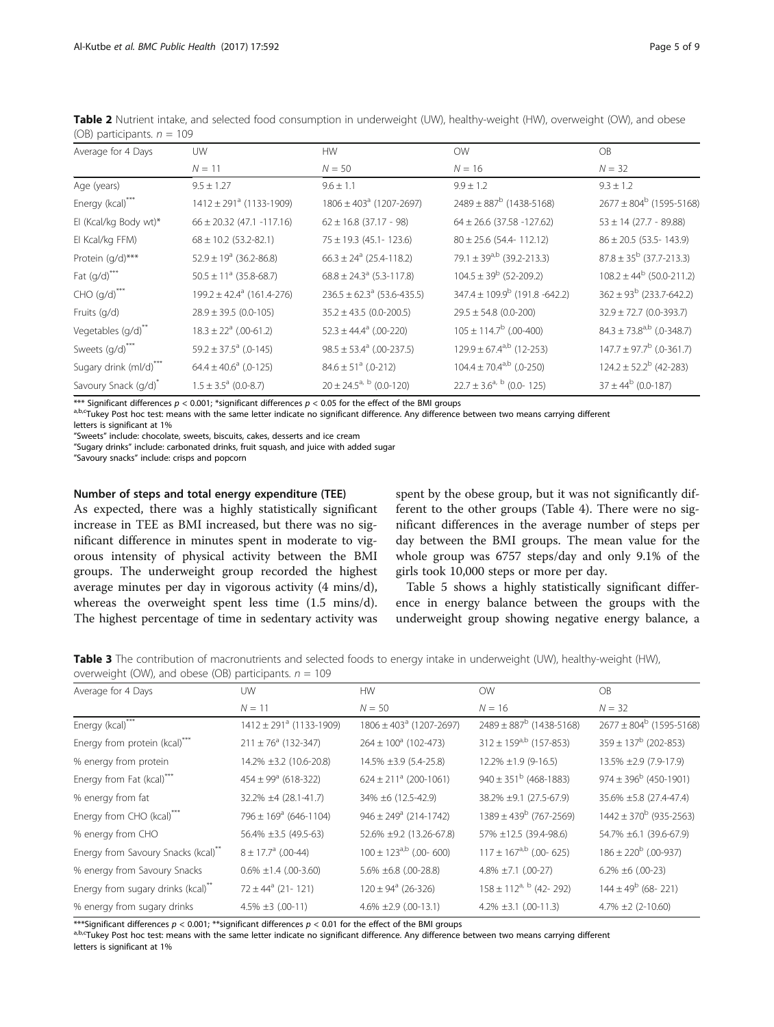<span id="page-4-0"></span>Table 2 Nutrient intake, and selected food consumption in underweight (UW), healthy-weight (HW), overweight (OW), and obese (OB) participants.  $n = 109$ 

| Average for 4 Days                      | <b>UW</b>                                 | <b>HW</b>                                  | <b>OW</b>                                | <b>OB</b>                                 |
|-----------------------------------------|-------------------------------------------|--------------------------------------------|------------------------------------------|-------------------------------------------|
|                                         | $N = 11$                                  | $N = 50$                                   | $N = 16$                                 | $N = 32$                                  |
| Age (years)                             | $9.5 \pm 1.27$                            | $9.6 \pm 1.1$                              | $9.9 \pm 1.2$                            | $9.3 \pm 1.2$                             |
| Energy (kcal)***                        | $1412 \pm 291$ <sup>a</sup> (1133-1909)   | $1806 \pm 403$ <sup>a</sup> (1207-2697)    | $2489 \pm 887^{\rm b}$ (1438-5168)       | $2677 \pm 804^b$ (1595-5168)              |
| El (Kcal/kg Body wt)*                   | $66 \pm 20.32$ (47.1 -117.16)             | $62 \pm 16.8$ (37.17 - 98)                 | $64 \pm 26.6$ (37.58 -127.62)            | $53 \pm 14$ (27.7 - 89.88)                |
| El Kcal/kg FFM)                         | $68 \pm 10.2$ (53.2-82.1)                 | $75 \pm 19.3$ (45.1-123.6)                 | $80 \pm 25.6$ (54.4-112.12)              | $86 \pm 20.5$ (53.5-143.9)                |
| Protein (g/d)***                        | $52.9 \pm 19^a$ (36.2-86.8)               | $66.3 \pm 24$ <sup>a</sup> (25.4-118.2)    | 79.1 ± 39 <sup>a,b</sup> (39.2-213.3)    | $87.8 \pm 35^{b}$ (37.7-213.3)            |
| Fat $(g/d)$ ***                         | $50.5 \pm 11^{\circ}$ (35.8-68.7)         | $68.8 \pm 24.3^{\circ}$ (5.3-117.8)        | $104.5 \pm 39^{b}$ (52-209.2)            | $108.2 \pm 44^b$ (50.0-211.2)             |
| $CHO (g/d)^{***}$                       | $199.2 \pm 42.4$ <sup>a</sup> (161.4-276) | $236.5 \pm 62.3$ <sup>a</sup> (53.6-435.5) | $347.4 \pm 109.9^b$ (191.8 -642.2)       | $362 \pm 93^{\rm b}$ (233.7-642.2)        |
| Fruits (g/d)                            | $28.9 \pm 39.5$ (0.0-105)                 | $35.2 \pm 43.5 (0.0 - 200.5)$              | $29.5 \pm 54.8$ (0.0-200)                | $32.9 \pm 72.7$ (0.0-393.7)               |
| Vegetables (g/d)**                      | $18.3 \pm 22^a$ (.00-61.2)                | $52.3 \pm 44.4^a$ (.00-220)                | $105 \pm 114.7^b$ (.00-400)              | $84.3 \pm 73.8$ <sup>a,b</sup> (.0-348.7) |
| Sweets $\left(\frac{q}{d}\right)^{***}$ | $59.2 \pm 37.5^a$ (.0-145)                | $98.5 \pm 53.4^a$ (.00-237.5)              | $129.9 \pm 67.4$ <sup>a,b</sup> (12-253) | $147.7 \pm 97.7^b$ (.0-361.7)             |
| Sugary drink (ml/d)***                  | $64.4 \pm 40.6^a$ (.0-125)                | $84.6 \pm 51^{\circ}$ (.0-212)             | $104.4 \pm 70.4$ <sup>a,b</sup> (.0-250) | $124.2 \pm 52.2^b$ (42-283)               |
| Savoury Snack (g/d)*                    | $1.5 \pm 3.5^{\circ}$ (0.0-8.7)           | $20 \pm 24.5^{a, b}$ (0.0-120)             | $22.7 \pm 3.6^{a, b}$ (0.0-125)          | $37 \pm 44^b$ (0.0-187)                   |

\*\*\* Significant differences  $p < 0.001$ ; \*significant differences  $p < 0.05$  for the effect of the BMI groups<br>abert later post hoc test: means with the same letter indicate no significant difference. Any difference between

letters is significant at 1%

"Sweets" include: chocolate, sweets, biscuits, cakes, desserts and ice cream

"Sugary drinks" include: carbonated drinks, fruit squash, and juice with added sugar

"Savoury snacks" include: crisps and popcorn

### Number of steps and total energy expenditure (TEE)

As expected, there was a highly statistically significant increase in TEE as BMI increased, but there was no significant difference in minutes spent in moderate to vigorous intensity of physical activity between the BMI groups. The underweight group recorded the highest average minutes per day in vigorous activity (4 mins/d), whereas the overweight spent less time (1.5 mins/d). The highest percentage of time in sedentary activity was spent by the obese group, but it was not significantly different to the other groups (Table [4\)](#page-5-0). There were no significant differences in the average number of steps per day between the BMI groups. The mean value for the whole group was 6757 steps/day and only 9.1% of the girls took 10,000 steps or more per day.

Table [5](#page-5-0) shows a highly statistically significant difference in energy balance between the groups with the underweight group showing negative energy balance, a

Table 3 The contribution of macronutrients and selected foods to energy intake in underweight (UW), healthy-weight (HW), overweight (OW), and obese (OB) participants.  $n = 109$ 

| Average for 4 Days                             | UW                                      | <b>HW</b>                               | <b>OW</b>                              | <b>OB</b>                       |
|------------------------------------------------|-----------------------------------------|-----------------------------------------|----------------------------------------|---------------------------------|
|                                                | $N = 11$                                | $N = 50$                                | $N = 16$                               | $N = 32$                        |
| Energy (kcal)***                               | $1412 \pm 291$ <sup>a</sup> (1133-1909) | $1806 \pm 403$ <sup>a</sup> (1207-2697) | $2489 \pm 887^b$ (1438-5168)           | $2677 \pm 804^b$ (1595-5168)    |
| Energy from protein (kcal) <sup>***</sup>      | $211 \pm 76^a$ (132-347)                | $264 \pm 100^{\circ}$ (102-473)         | $312 \pm 159^{a,b}$ (157-853)          | $359 \pm 137^{\rm b}$ (202-853) |
| % energy from protein                          | 14.2% ±3.2 (10.6-20.8)                  | 14.5% ±3.9 (5.4-25.8)                   | 12.2% ±1.9 (9-16.5)                    | 13.5% ±2.9 (7.9-17.9)           |
| Energy from Fat (kcal)***                      | $454 \pm 99$ <sup>a</sup> (618-322)     | $624 \pm 211^a$ (200-1061)              | $940 \pm 351^{\mathrm{b}}$ (468-1883)  | $974 \pm 396^b$ (450-1901)      |
| % energy from fat                              | 32.2% ±4 (28.1-41.7)                    | 34% ±6 (12.5-42.9)                      | 38.2% ±9.1 (27.5-67.9)                 | 35.6% ±5.8 (27.4-47.4)          |
| Energy from CHO (kcal)***                      | $796 \pm 169$ <sup>a</sup> (646-1104)   | $946 \pm 249$ <sup>a</sup> (214-1742)   | $1389 \pm 439^{\rm b}$ (767-2569)      | $1442 \pm 370^b$ (935-2563)     |
| % energy from CHO                              | 56.4% ±3.5 (49.5-63)                    | 52.6% ±9.2 (13.26-67.8)                 | 57% ±12.5 (39.4-98.6)                  | 54.7% ±6.1 (39.6-67.9)          |
| Energy from Savoury Snacks (kcal)**            | $8 \pm 17.7$ <sup>a</sup> (.00-44)      | $100 \pm 123^{a,b}$ (.00-600)           | $117 \pm 167$ <sup>a,b</sup> (.00-625) | $186 \pm 220^{\rm b}$ (.00-937) |
| % energy from Savoury Snacks                   | $0.6\% \pm 1.4$ (.00-3.60)              | 5.6% ±6.8 (.00-28.8)                    | $4.8\% \pm 7.1$ (.00-27)               | $6.2\% \pm 6$ (.00-23)          |
| Energy from sugary drinks (kcal) <sup>**</sup> | $72 \pm 44^a$ (21-121)                  | $120 \pm 94^{\circ}$ (26-326)           | $158 \pm 112^{a, b}$ (42-292)          | $144 \pm 49^b$ (68-221)         |
| % energy from sugary drinks                    | 4.5% $\pm$ 3 (.00-11)                   | 4.6% $\pm 2.9$ (.00-13.1)               | $4.2\% \pm 3.1$ (.00-11.3)             | $4.7\% \pm 2(2-10.60)$          |

\*\*\*Significant differences  $p < 0.001$ ; \*\*significant differences  $p < 0.01$  for the effect of the BMI groups<br>abset low Post hoc test: means with the same letter indicate no significant difference. Any difference between tw letters is significant at 1%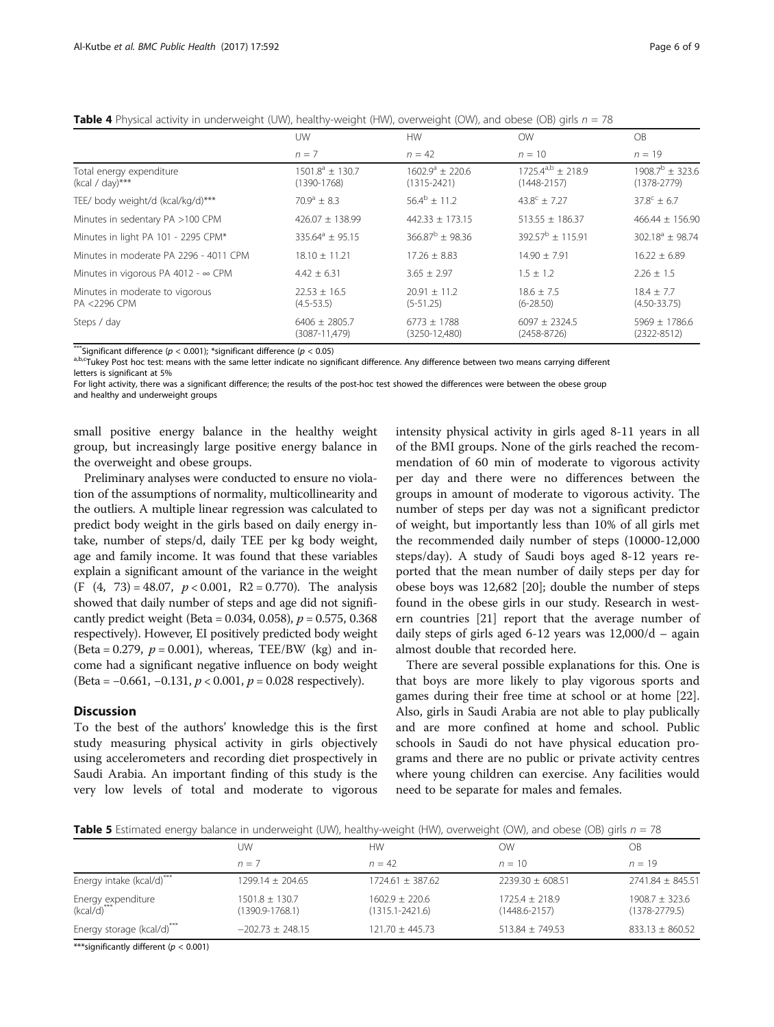|                                                 | <b>UW</b>                               | <b>HW</b>                                     | <b>OW</b>                               | OB.                                     |
|-------------------------------------------------|-----------------------------------------|-----------------------------------------------|-----------------------------------------|-----------------------------------------|
|                                                 | $n = 7$                                 | $n = 42$                                      | $n = 10$                                | $n = 19$                                |
| Total energy expenditure<br>$(kcal / day)$ ***  | $1501.8^a \pm 130.7$<br>$(1390 - 1768)$ | $1602.9^{\circ} \pm 220.6$<br>$(1315 - 2421)$ | $17254^{a,b} + 2189$<br>$(1448 - 2157)$ | $1908.7^{b} + 323.6$<br>$(1378 - 2779)$ |
| TEE/ body weight/d (kcal/kg/d)***               | $70.9^a + 8.3$                          | $56.4^b + 11.2$                               | $43.8^{\circ} + 7.27$                   | $37.8^{\circ} \pm 6.7$                  |
| Minutes in sedentary PA >100 CPM                | $426.07 \pm 138.99$                     | $442.33 \pm 173.15$                           | $513.55 \pm 186.37$                     | $466.44 \pm 156.90$                     |
| Minutes in light PA 101 - 2295 CPM*             | $335.64^{\circ} \pm 95.15$              | $366.87^b + 98.36$                            | $392.57^{\mathrm{b}} + 115.91$          | $302.18^a \pm 98.74$                    |
| Minutes in moderate PA 2296 - 4011 CPM          | $18.10 + 11.21$                         | $17.26 + 8.83$                                | $14.90 + 7.91$                          | $16.22 + 6.89$                          |
| Minutes in vigorous PA 4012 - $\infty$ CPM      | $4.42 \pm 6.31$                         | $3.65 \pm 2.97$                               | $1.5 \pm 1.2$                           | $2.26 + 1.5$                            |
| Minutes in moderate to vigorous<br>PA <2296 CPM | $22.53 \pm 16.5$<br>$(4.5 - 53.5)$      | $20.91 \pm 11.2$<br>$(5-51.25)$               | $18.6 \pm 7.5$<br>$(6 - 28.50)$         | $18.4 + 7.7$<br>$(4.50 - 33.75)$        |
| Steps / day                                     | $6406 \pm 2805.7$<br>$(3087 - 11,479)$  | $6773 \pm 1788$<br>$(3250 - 12,480)$          | $6097 + 2324.5$<br>$(2458 - 8726)$      | $5969 + 1786.6$<br>$(2322 - 8512)$      |

<span id="page-5-0"></span>**Table 4** Physical activity in underweight (UW), healthy-weight (HW), overweight (OW), and obese (OB) girls  $n = 78$ 

\*\*\*Significant difference (p < 0.001); \*significant difference (p < 0.05)<br><sup>a,b,c</sup>Tukey Post hoc test: means with the same letter indicate no significant difference. Any difference between two means carrying different letters is significant at 5%

For light activity, there was a significant difference; the results of the post-hoc test showed the differences were between the obese group and healthy and underweight groups

small positive energy balance in the healthy weight group, but increasingly large positive energy balance in the overweight and obese groups.

Preliminary analyses were conducted to ensure no violation of the assumptions of normality, multicollinearity and the outliers. A multiple linear regression was calculated to predict body weight in the girls based on daily energy intake, number of steps/d, daily TEE per kg body weight, age and family income. It was found that these variables explain a significant amount of the variance in the weight (F  $(4, 73) = 48.07$ ,  $p < 0.001$ , R2 = 0.770). The analysis showed that daily number of steps and age did not significantly predict weight (Beta =  $0.034$ ,  $0.058$ ),  $p = 0.575$ ,  $0.368$ respectively). However, EI positively predicted body weight (Beta = 0.279,  $p = 0.001$ ), whereas, TEE/BW (kg) and income had a significant negative influence on body weight (Beta =  $-0.661$ ,  $-0.131$ ,  $p < 0.001$ ,  $p = 0.028$  respectively).

### **Discussion**

To the best of the authors' knowledge this is the first study measuring physical activity in girls objectively using accelerometers and recording diet prospectively in Saudi Arabia. An important finding of this study is the very low levels of total and moderate to vigorous intensity physical activity in girls aged 8-11 years in all of the BMI groups. None of the girls reached the recommendation of 60 min of moderate to vigorous activity per day and there were no differences between the groups in amount of moderate to vigorous activity. The number of steps per day was not a significant predictor of weight, but importantly less than 10% of all girls met the recommended daily number of steps (10000-12,000 steps/day). A study of Saudi boys aged 8-12 years reported that the mean number of daily steps per day for obese boys was 12,682 [[20\]](#page-8-0); double the number of steps found in the obese girls in our study. Research in western countries [[21](#page-8-0)] report that the average number of daily steps of girls aged 6-12 years was 12,000/d – again almost double that recorded here.

There are several possible explanations for this. One is that boys are more likely to play vigorous sports and games during their free time at school or at home [\[22](#page-8-0)]. Also, girls in Saudi Arabia are not able to play publically and are more confined at home and school. Public schools in Saudi do not have physical education programs and there are no public or private activity centres where young children can exercise. Any facilities would need to be separate for males and females.

**Table 5** Estimated energy balance in underweight (UW), healthy-weight (HW), overweight (OW), and obese (OB) girls  $n = 78$ 

|                                   | UW                                    | <b>HW</b>                               | ОW                                    | OB                                |
|-----------------------------------|---------------------------------------|-----------------------------------------|---------------------------------------|-----------------------------------|
|                                   | $n=7$                                 | $n = 42$                                | $n = 10$                              | $n = 19$                          |
| Energy intake (kcal/d)***         | $1299.14 + 204.65$                    | $1724.61 + 387.62$                      | $2239.30 + 608.51$                    | $2741.84 \pm 845.51$              |
| Energy expenditure<br>(kcal/d)*** | $1501.8 \pm 130.7$<br>(1390.9-1768.1) | $1602.9 + 220.6$<br>$(1315.1 - 2421.6)$ | $1725.4 + 218.9$<br>$(1448.6 - 2157)$ | $1908.7 + 323.6$<br>(1378-2779.5) |
| Energy storage (kcal/d)***        | $-202.73 \pm 248.15$                  | $121.70 \pm 445.73$                     | $513.84 + 749.53$                     | $833.13 \pm 860.52$               |
| $\frac{1}{2}$                     |                                       |                                         |                                       |                                   |

\*\*\*significantly different ( $p < 0.001$ )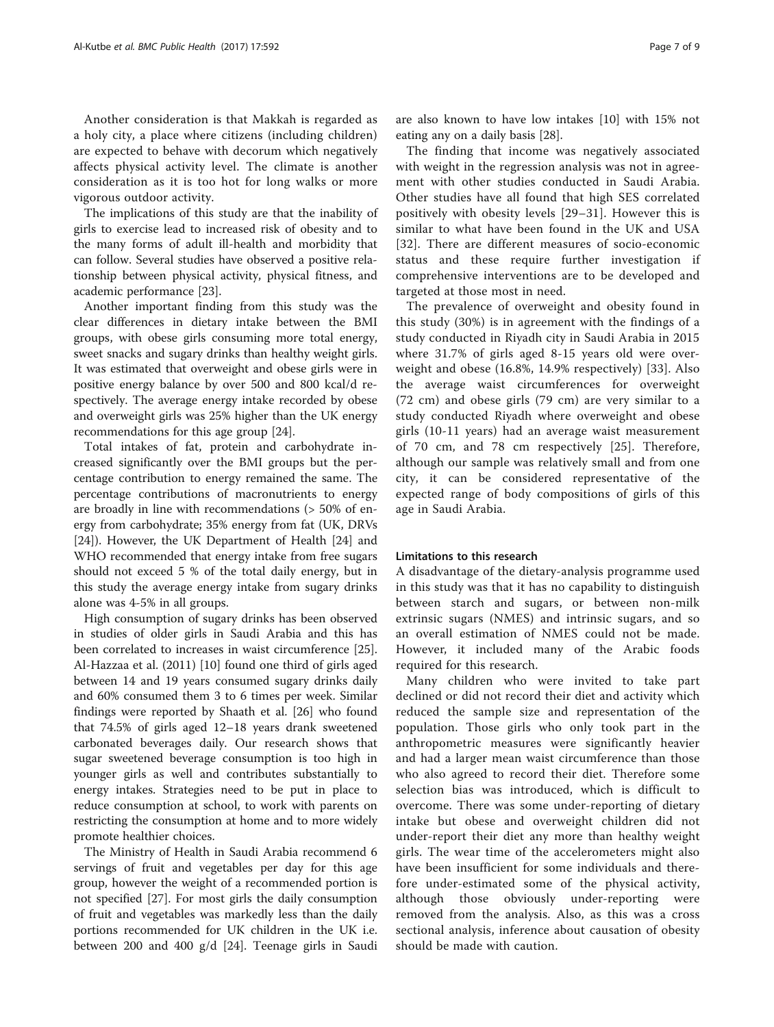Another consideration is that Makkah is regarded as a holy city, a place where citizens (including children) are expected to behave with decorum which negatively affects physical activity level. The climate is another consideration as it is too hot for long walks or more vigorous outdoor activity.

The implications of this study are that the inability of girls to exercise lead to increased risk of obesity and to the many forms of adult ill-health and morbidity that can follow. Several studies have observed a positive relationship between physical activity, physical fitness, and academic performance [\[23](#page-8-0)].

Another important finding from this study was the clear differences in dietary intake between the BMI groups, with obese girls consuming more total energy, sweet snacks and sugary drinks than healthy weight girls. It was estimated that overweight and obese girls were in positive energy balance by over 500 and 800 kcal/d respectively. The average energy intake recorded by obese and overweight girls was 25% higher than the UK energy recommendations for this age group [\[24\]](#page-8-0).

Total intakes of fat, protein and carbohydrate increased significantly over the BMI groups but the percentage contribution to energy remained the same. The percentage contributions of macronutrients to energy are broadly in line with recommendations (> 50% of energy from carbohydrate; 35% energy from fat (UK, DRVs [[24\]](#page-8-0)). However, the UK Department of Health [[24](#page-8-0)] and WHO recommended that energy intake from free sugars should not exceed 5 % of the total daily energy, but in this study the average energy intake from sugary drinks alone was 4-5% in all groups.

High consumption of sugary drinks has been observed in studies of older girls in Saudi Arabia and this has been correlated to increases in waist circumference [\[25](#page-8-0)]. Al-Hazzaa et al. (2011) [[10\]](#page-7-0) found one third of girls aged between 14 and 19 years consumed sugary drinks daily and 60% consumed them 3 to 6 times per week. Similar findings were reported by Shaath et al. [\[26](#page-8-0)] who found that 74.5% of girls aged 12–18 years drank sweetened carbonated beverages daily. Our research shows that sugar sweetened beverage consumption is too high in younger girls as well and contributes substantially to energy intakes. Strategies need to be put in place to reduce consumption at school, to work with parents on restricting the consumption at home and to more widely promote healthier choices.

The Ministry of Health in Saudi Arabia recommend 6 servings of fruit and vegetables per day for this age group, however the weight of a recommended portion is not specified [\[27](#page-8-0)]. For most girls the daily consumption of fruit and vegetables was markedly less than the daily portions recommended for UK children in the UK i.e. between 200 and 400 g/d [[24\]](#page-8-0). Teenage girls in Saudi are also known to have low intakes [\[10](#page-7-0)] with 15% not eating any on a daily basis [\[28\]](#page-8-0).

The finding that income was negatively associated with weight in the regression analysis was not in agreement with other studies conducted in Saudi Arabia. Other studies have all found that high SES correlated positively with obesity levels [[29](#page-8-0)–[31](#page-8-0)]. However this is similar to what have been found in the UK and USA [[32](#page-8-0)]. There are different measures of socio-economic status and these require further investigation if comprehensive interventions are to be developed and targeted at those most in need.

The prevalence of overweight and obesity found in this study (30%) is in agreement with the findings of a study conducted in Riyadh city in Saudi Arabia in 2015 where 31.7% of girls aged 8-15 years old were overweight and obese (16.8%, 14.9% respectively) [[33\]](#page-8-0). Also the average waist circumferences for overweight (72 cm) and obese girls (79 cm) are very similar to a study conducted Riyadh where overweight and obese girls (10-11 years) had an average waist measurement of 70 cm, and 78 cm respectively [[25\]](#page-8-0). Therefore, although our sample was relatively small and from one city, it can be considered representative of the expected range of body compositions of girls of this age in Saudi Arabia.

### Limitations to this research

A disadvantage of the dietary-analysis programme used in this study was that it has no capability to distinguish between starch and sugars, or between non-milk extrinsic sugars (NMES) and intrinsic sugars, and so an overall estimation of NMES could not be made. However, it included many of the Arabic foods required for this research.

Many children who were invited to take part declined or did not record their diet and activity which reduced the sample size and representation of the population. Those girls who only took part in the anthropometric measures were significantly heavier and had a larger mean waist circumference than those who also agreed to record their diet. Therefore some selection bias was introduced, which is difficult to overcome. There was some under-reporting of dietary intake but obese and overweight children did not under-report their diet any more than healthy weight girls. The wear time of the accelerometers might also have been insufficient for some individuals and therefore under-estimated some of the physical activity, although those obviously under-reporting were removed from the analysis. Also, as this was a cross sectional analysis, inference about causation of obesity should be made with caution.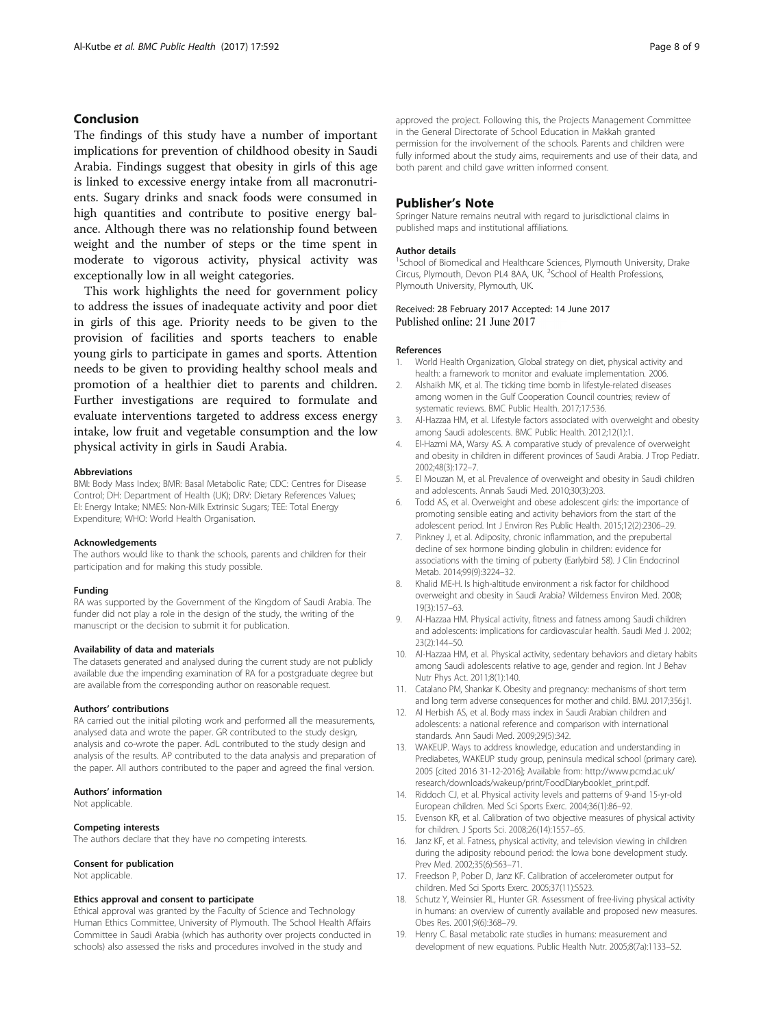# <span id="page-7-0"></span>Conclusion

The findings of this study have a number of important implications for prevention of childhood obesity in Saudi Arabia. Findings suggest that obesity in girls of this age is linked to excessive energy intake from all macronutrients. Sugary drinks and snack foods were consumed in high quantities and contribute to positive energy balance. Although there was no relationship found between weight and the number of steps or the time spent in moderate to vigorous activity, physical activity was exceptionally low in all weight categories.

This work highlights the need for government policy to address the issues of inadequate activity and poor diet in girls of this age. Priority needs to be given to the provision of facilities and sports teachers to enable young girls to participate in games and sports. Attention needs to be given to providing healthy school meals and promotion of a healthier diet to parents and children. Further investigations are required to formulate and evaluate interventions targeted to address excess energy intake, low fruit and vegetable consumption and the low physical activity in girls in Saudi Arabia.

#### Abbreviations

BMI: Body Mass Index; BMR: Basal Metabolic Rate; CDC: Centres for Disease Control; DH: Department of Health (UK); DRV: Dietary References Values; EI: Energy Intake; NMES: Non-Milk Extrinsic Sugars; TEE: Total Energy Expenditure; WHO: World Health Organisation.

#### Acknowledgements

The authors would like to thank the schools, parents and children for their participation and for making this study possible.

#### Funding

RA was supported by the Government of the Kingdom of Saudi Arabia. The funder did not play a role in the design of the study, the writing of the manuscript or the decision to submit it for publication.

### Availability of data and materials

The datasets generated and analysed during the current study are not publicly available due the impending examination of RA for a postgraduate degree but are available from the corresponding author on reasonable request.

#### Authors' contributions

RA carried out the initial piloting work and performed all the measurements, analysed data and wrote the paper. GR contributed to the study design, analysis and co-wrote the paper. AdL contributed to the study design and analysis of the results. AP contributed to the data analysis and preparation of the paper. All authors contributed to the paper and agreed the final version.

### Authors' information

Not applicable.

### Competing interests

The authors declare that they have no competing interests.

#### Consent for publication

Not applicable.

#### Ethics approval and consent to participate

Ethical approval was granted by the Faculty of Science and Technology Human Ethics Committee, University of Plymouth. The School Health Affairs Committee in Saudi Arabia (which has authority over projects conducted in schools) also assessed the risks and procedures involved in the study and

approved the project. Following this, the Projects Management Committee in the General Directorate of School Education in Makkah granted permission for the involvement of the schools. Parents and children were fully informed about the study aims, requirements and use of their data, and both parent and child gave written informed consent.

### Publisher's Note

Springer Nature remains neutral with regard to jurisdictional claims in published maps and institutional affiliations.

#### Author details

<sup>1</sup>School of Biomedical and Healthcare Sciences, Plymouth University, Drake Circus, Plymouth, Devon PL4 8AA, UK. <sup>2</sup>School of Health Professions Plymouth University, Plymouth, UK.

### Received: 28 February 2017 Accepted: 14 June 2017 Published online: 21 June 2017

#### References

- 1. World Health Organization, Global strategy on diet, physical activity and health: a framework to monitor and evaluate implementation. 2006.
- 2. Alshaikh MK, et al. The ticking time bomb in lifestyle-related diseases among women in the Gulf Cooperation Council countries; review of systematic reviews. BMC Public Health. 2017;17:536.
- 3. Al-Hazzaa HM, et al. Lifestyle factors associated with overweight and obesity among Saudi adolescents. BMC Public Health. 2012;12(1):1.
- 4. El-Hazmi MA, Warsy AS. A comparative study of prevalence of overweight and obesity in children in different provinces of Saudi Arabia. J Trop Pediatr. 2002;48(3):172–7.
- 5. El Mouzan M, et al. Prevalence of overweight and obesity in Saudi children and adolescents. Annals Saudi Med. 2010;30(3):203.
- 6. Todd AS, et al. Overweight and obese adolescent girls: the importance of promoting sensible eating and activity behaviors from the start of the adolescent period. Int J Environ Res Public Health. 2015;12(2):2306–29.
- 7. Pinkney J, et al. Adiposity, chronic inflammation, and the prepubertal decline of sex hormone binding globulin in children: evidence for associations with the timing of puberty (Earlybird 58). J Clin Endocrinol Metab. 2014;99(9):3224–32.
- 8. Khalid ME-H. Is high-altitude environment a risk factor for childhood overweight and obesity in Saudi Arabia? Wilderness Environ Med. 2008; 19(3):157–63.
- 9. Al-Hazzaa HM. Physical activity, fitness and fatness among Saudi children and adolescents: implications for cardiovascular health. Saudi Med J. 2002; 23(2):144–50.
- 10. Al-Hazzaa HM, et al. Physical activity, sedentary behaviors and dietary habits among Saudi adolescents relative to age, gender and region. Int J Behav Nutr Phys Act. 2011;8(1):140.
- 11. Catalano PM, Shankar K. Obesity and pregnancy: mechanisms of short term and long term adverse consequences for mother and child. BMJ. 2017;356:j1.
- 12. Al Herbish AS, et al. Body mass index in Saudi Arabian children and adolescents: a national reference and comparison with international standards. Ann Saudi Med. 2009;29(5):342.
- 13. WAKEUP. Ways to address knowledge, education and understanding in Prediabetes, WAKEUP study group, peninsula medical school (primary care). 2005 [cited 2016 31-12-2016]; Available from: [http://www.pcmd.ac.uk/](http://www.pcmd.ac.uk/research/downloads/wakeup/print/FoodDiarybooklet_print.pdf) [research/downloads/wakeup/print/FoodDiarybooklet\\_print.pdf.](http://www.pcmd.ac.uk/research/downloads/wakeup/print/FoodDiarybooklet_print.pdf)
- 14. Riddoch CJ, et al. Physical activity levels and patterns of 9-and 15-yr-old European children. Med Sci Sports Exerc. 2004;36(1):86–92.
- 15. Evenson KR, et al. Calibration of two objective measures of physical activity for children. J Sports Sci. 2008;26(14):1557–65.
- 16. Janz KF, et al. Fatness, physical activity, and television viewing in children during the adiposity rebound period: the Iowa bone development study. Prev Med. 2002;35(6):563–71.
- 17. Freedson P, Pober D, Janz KF. Calibration of accelerometer output for children. Med Sci Sports Exerc. 2005;37(11):S523.
- 18. Schutz Y, Weinsier RL, Hunter GR. Assessment of free-living physical activity in humans: an overview of currently available and proposed new measures. Obes Res. 2001;9(6):368–79.
- 19. Henry C. Basal metabolic rate studies in humans: measurement and development of new equations. Public Health Nutr. 2005;8(7a):1133–52.